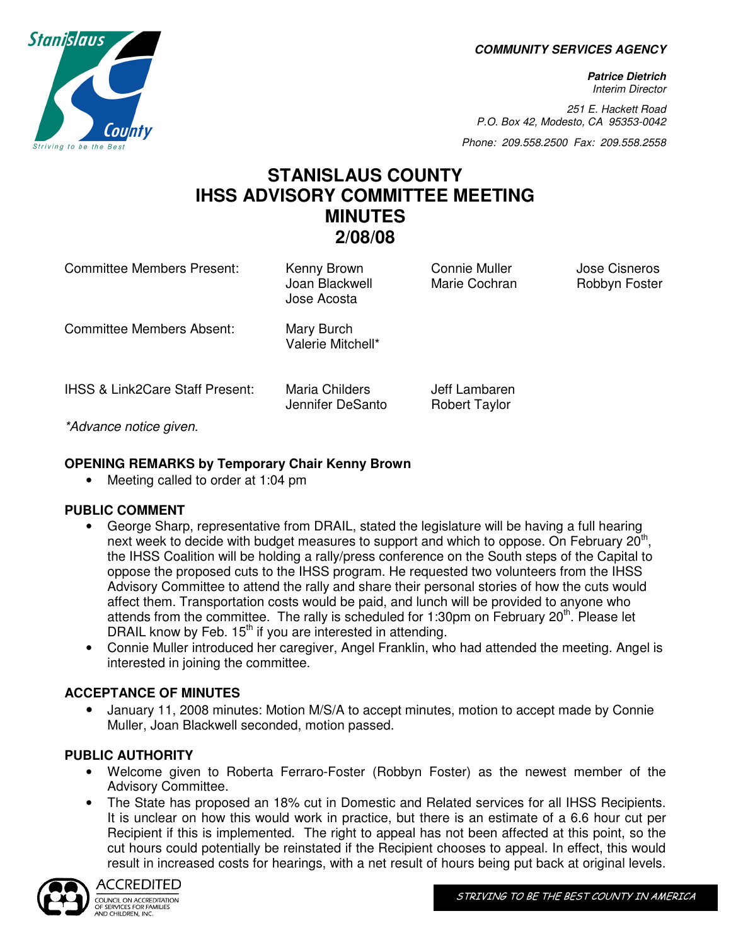**COMMUNITY SERVICES AGENCY** 

**Patrice Dietrich**  Interim Director

251 E. Hackett Road P.O. Box 42, Modesto, CA 95353-0042

Phone: 209.558.2500 Fax: 209.558.2558

# **STANISLAUS COUNTY IHSS ADVISORY COMMITTEE MEETING MINUTES 2/08/08**

Committee Members Present: Kenny Brown Connie Muller Jose Cisneros Joan Blackwell Marie Cochran Robbyn Foster Jose Acosta Committee Members Absent: Mary Burch Valerie Mitchell\* IHSS & Link2Care Staff Present: Maria Childers **Jeff Lambaren** 

\*Advance notice given.

## **OPENING REMARKS by Temporary Chair Kenny Brown**

• Meeting called to order at 1:04 pm

### **PUBLIC COMMENT**

• George Sharp, representative from DRAIL, stated the legislature will be having a full hearing next week to decide with budget measures to support and which to oppose. On February  $20<sup>th</sup>$ , the IHSS Coalition will be holding a rally/press conference on the South steps of the Capital to oppose the proposed cuts to the IHSS program. He requested two volunteers from the IHSS Advisory Committee to attend the rally and share their personal stories of how the cuts would affect them. Transportation costs would be paid, and lunch will be provided to anyone who attends from the committee. The rally is scheduled for 1:30pm on February  $20<sup>th</sup>$ . Please let DRAIL know by Feb.  $15<sup>th</sup>$  if you are interested in attending.

Jennifer DeSanto Robert Taylor

• Connie Muller introduced her caregiver, Angel Franklin, who had attended the meeting. Angel is interested in joining the committee.

### **ACCEPTANCE OF MINUTES**

• January 11, 2008 minutes: Motion M/S/A to accept minutes, motion to accept made by Connie Muller, Joan Blackwell seconded, motion passed.

# **PUBLIC AUTHORITY**

- Welcome given to Roberta Ferraro-Foster (Robbyn Foster) as the newest member of the Advisory Committee.
- The State has proposed an 18% cut in Domestic and Related services for all IHSS Recipients. It is unclear on how this would work in practice, but there is an estimate of a 6.6 hour cut per Recipient if this is implemented. The right to appeal has not been affected at this point, so the cut hours could potentially be reinstated if the Recipient chooses to appeal. In effect, this would result in increased costs for hearings, with a net result of hours being put back at original levels.